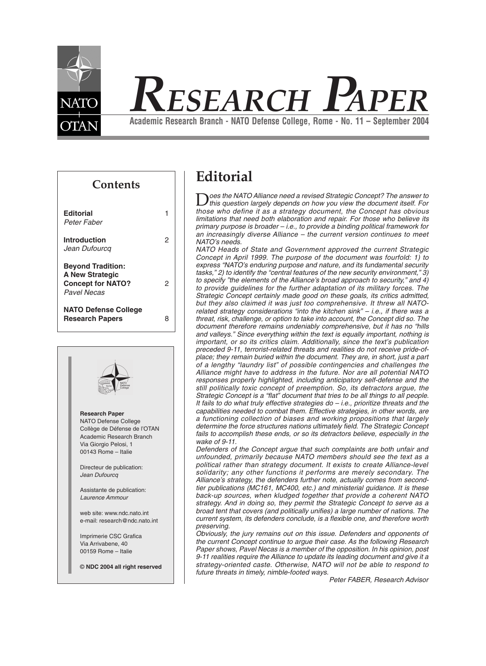

# *RESEARCH PAPER*

**Academic Research Branch - NATO Defense College, Rome - No. 11 – September 2004**

**Contents**

| <b>Editorial</b><br>Peter Faber                                                               |   |
|-----------------------------------------------------------------------------------------------|---|
| <b>Introduction</b><br>Jean Dufourcq                                                          | 2 |
| <b>Beyond Tradition:</b><br><b>A New Strategic</b><br><b>Concept for NATO?</b><br>Pavel Necas |   |
| <b>NATO Defense College</b><br><b>Research Papers</b>                                         | 8 |
|                                                                                               |   |



# **Editorial**

Does the NATO Alliance need a revised Strategic Concept? The answer to<br>this question largely depends on how you view the document itself. For<br>these who define it as a patroleur designed the Concept has a builded *those who define it as a strategy document, the Concept has obvious limitations that need both elaboration and repair. For those who believe its primary purpose is broader – i.e., to provide a binding political framework for an increasingly diverse Alliance – the current version continues to meet NATO's needs.*

*NATO Heads of State and Government approved the current Strategic Concept in April 1999. The purpose of the document was fourfold: 1) to express "NATO's enduring purpose and nature, and its fundamental security tasks," 2) to identify the "central features of the new security environment," 3) to specify "the elements of the Alliance's broad approach to security," and 4) to provide guidelines for the further adaptation of its military forces. The Strategic Concept certainly made good on these goals, its critics admitted, but they also claimed it was just too comprehensive. It threw all NATOrelated strategy considerations "into the kitchen sink" – i.e., if there was a threat, risk, challenge, or option to take into account, the Concept did so. The document therefore remains undeniably comprehensive, but it has no "hills and valleys." Since everything within the text is equally important, nothing is important, or so its critics claim. Additionally, since the text's publication preceded 9-11, terrorist-related threats and realities do not receive pride-ofplace; they remain buried within the document. They are, in short, just a part of a lengthy "laundry list" of possible contingencies and challenges the Alliance might have to address in the future. Nor are all potential NATO responses properly highlighted, including anticipatory self-defense and the still politically toxic concept of preemption. So, its detractors argue, the Strategic Concept is a "flat" document that tries to be all things to all people. It fails to do what truly effective strategies do – i.e., prioritize threats and the capabilities needed to combat them. Effective strategies, in other words, are a functioning collection of biases and working propositions that largely determine the force structures nations ultimately field. The Strategic Concept fails to accomplish these ends, or so its detractors believe, especially in the wake of 9-11.*

*Defenders of the Concept argue that such complaints are both unfair and unfounded, primarily because NATO members should see the text as a political rather than strategy document. It exists to create Alliance-level solidarity; any other functions it performs are merely secondary. The Alliance's strategy, the defenders further note, actually comes from secondtier publications (MC161, MC400, etc.) and ministerial guidance. It is these back-up sources, when kludged together that provide a coherent NATO strategy. And in doing so, they permit the Strategic Concept to serve as a broad tent that covers (and politically unifies) a large number of nations. The current system, its defenders conclude, is a flexible one, and therefore worth preserving.*

*Obviously, the jury remains out on this issue. Defenders and opponents of the current Concept continue to argue their case. As the following Research Paper shows, Pavel Necas is a member of the opposition. In his opinion, post 9-11 realities require the Alliance to update its leading document and give it a strategy-oriented caste. Otherwise, NATO will not be able to respond to future threats in timely, nimble-footed ways.*

*Peter FABER, Research Advisor*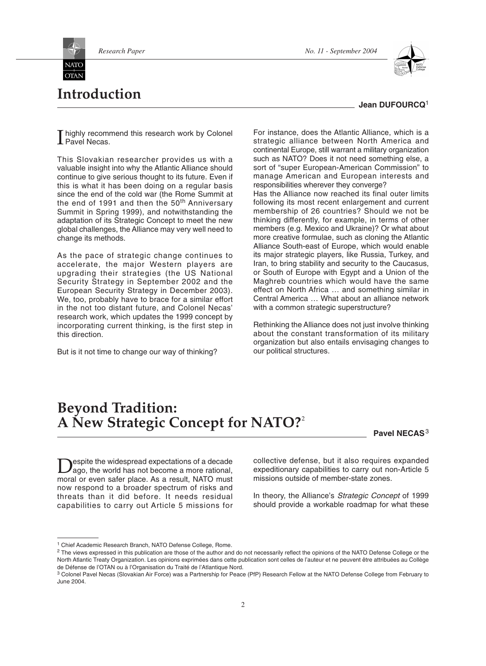**Introduction**

**OTAN** 



# **Jean DUFOURCQ**<sup>1</sup>

**T** highly recoming<br>Pavel Necas. highly recommend this research work by Colonel

This Slovakian researcher provides us with a valuable insight into why the Atlantic Alliance should continue to give serious thought to its future. Even if this is what it has been doing on a regular basis since the end of the cold war (the Rome Summit at the end of 1991 and then the 50<sup>th</sup> Anniversary Summit in Spring 1999), and notwithstanding the adaptation of its Strategic Concept to meet the new global challenges, the Alliance may very well need to change its methods.

As the pace of strategic change continues to accelerate, the major Western players are upgrading their strategies (the US National Security Strategy in September 2002 and the European Security Strategy in December 2003). We, too, probably have to brace for a similar effort in the not too distant future, and Colonel Necas' research work, which updates the 1999 concept by incorporating current thinking, is the first step in this direction.

But is it not time to change our way of thinking?

For instance, does the Atlantic Alliance, which is a strategic alliance between North America and continental Europe, still warrant a military organization such as NATO? Does it not need something else, a sort of "super European-American Commission" to manage American and European interests and responsibilities wherever they converge?

Has the Alliance now reached its final outer limits following its most recent enlargement and current membership of 26 countries? Should we not be thinking differently, for example, in terms of other members (e.g. Mexico and Ukraine)? Or what about more creative formulae, such as cloning the Atlantic Alliance South-east of Europe, which would enable its major strategic players, like Russia, Turkey, and Iran, to bring stability and security to the Caucasus, or South of Europe with Egypt and a Union of the Maghreb countries which would have the same effect on North Africa … and something similar in Central America … What about an alliance network with a common strategic superstructure?

Rethinking the Alliance does not just involve thinking about the constant transformation of its military organization but also entails envisaging changes to our political structures.

# **Beyond Tradition: A New Strategic Concept for NATO?**<sup>2</sup>

**Pavel NECAS**<sup>3</sup>

Despite the widespread expectations of a decade<br>ago, the world has not become a more rational,<br>more ago, the world has not become a more rational, moral or even safer place. As a result, NATO must now respond to a broader spectrum of risks and threats than it did before. It needs residual capabilities to carry out Article 5 missions for collective defense, but it also requires expanded expeditionary capabilities to carry out non-Article 5 missions outside of member-state zones.

In theory, the Alliance's *Strategic Concept* of 1999 should provide a workable roadmap for what these

<sup>&</sup>lt;sup>1</sup> Chief Academic Research Branch, NATO Defense College, Rome.

<sup>&</sup>lt;sup>2</sup> The views expressed in this publication are those of the author and do not necessarily reflect the opinions of the NATO Defense College or the North Atlantic Treaty Organization. Les opinions exprimées dans cette publication sont celles de l'auteur et ne peuvent être attribuées au Collège de Défense de l'OTAN ou à l'Organisation du Traité de l'Atlantique Nord.

<sup>&</sup>lt;sup>3</sup> Colonel Pavel Necas (Slovakian Air Force) was a Partnership for Peace (PfP) Research Fellow at the NATO Defense College from February to June 2004.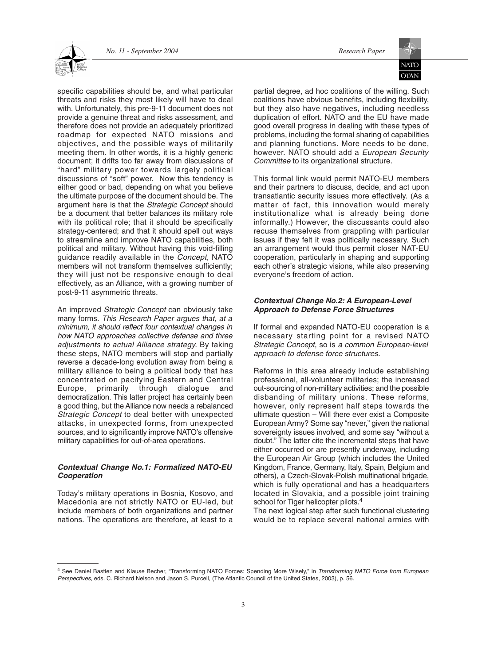

specific capabilities should be, and what particular threats and risks they most likely will have to deal with. Unfortunately, this pre-9-11 document does not provide a genuine threat and risks assessment, and therefore does not provide an adequately prioritized roadmap for expected NATO missions and objectives, and the possible ways of militarily meeting them. In other words, it is a highly generic document; it drifts too far away from discussions of "hard" military power towards largely political discussions of "soft" power. Now this tendency is either good or bad, depending on what you believe the ultimate purpose of the document should be. The argument here is that the *Strategic Concept* should be a document that better balances its military role with its political role; that it should be specifically strategy-centered; and that it should spell out ways to streamline and improve NATO capabilities, both political and military. Without having this void-filling guidance readily available in the *Concept*, NATO members will not transform themselves sufficiently; they will just not be responsive enough to deal effectively, as an Alliance, with a growing number of post-9-11 asymmetric threats.

An improved *Strategic Concept* can obviously take many forms. *This Research Paper argues that, at a minimum, it should reflect four contextual changes in how NATO approaches collective defense and three adjustments to actual Alliance strategy.* By taking these steps, NATO members will stop and partially reverse a decade-long evolution away from being a military alliance to being a political body that has concentrated on pacifying Eastern and Central Europe, primarily through dialogue and democratization. This latter project has certainly been a good thing, but the Alliance now needs a rebalanced *Strategic Concept* to deal better with unexpected attacks, in unexpected forms, from unexpected sources, and to significantly improve NATO's offensive military capabilities for out-of-area operations.

# *Contextual Change No.1: Formalized NATO-EU Cooperation*

Today's military operations in Bosnia, Kosovo, and Macedonia are not strictly NATO or EU-led, but include members of both organizations and partner nations. The operations are therefore, at least to a partial degree, ad hoc coalitions of the willing. Such coalitions have obvious benefits, including flexibility, but they also have negatives, including needless duplication of effort. NATO and the EU have made good overall progress in dealing with these types of problems, including the formal sharing of capabilities and planning functions. More needs to be done, however. NATO should add a *European Security Committee* to its organizational structure.

This formal link would permit NATO-EU members and their partners to discuss, decide, and act upon transatlantic security issues more effectively. (As a matter of fact, this innovation would merely institutionalize what is already being done informally.) However, the discussants could also recuse themselves from grappling with particular issues if they felt it was politically necessary. Such an arrangement would thus permit closer NAT-EU cooperation, particularly in shaping and supporting each other's strategic visions, while also preserving everyone's freedom of action.

# *Contextual Change No.2: A European-Level Approach to Defense Force Structures*

If formal and expanded NATO-EU cooperation is a necessary starting point for a revised NATO *Strategic Concept*, so is *a common European-level approach to defense force structures.*

Reforms in this area already include establishing professional, all-volunteer militaries; the increased out-sourcing of non-military activities; and the possible disbanding of military unions. These reforms, however, only represent half steps towards the ultimate question – Will there ever exist a Composite European Army? Some say "never," given the national sovereignty issues involved, and some say "without a doubt." The latter cite the incremental steps that have either occurred or are presently underway, including the European Air Group (which includes the United Kingdom, France, Germany, Italy, Spain, Belgium and others), a Czech-Slovak-Polish multinational brigade, which is fully operational and has a headquarters located in Slovakia, and a possible joint training school for Tiger helicopter pilots.<sup>4</sup>

The next logical step after such functional clustering would be to replace several national armies with

<sup>4</sup> See Daniel Bastien and Klause Becher, "Transforming NATO Forces: Spending More Wisely," in *Transforming NATO Force from European Perspectives*, eds. C. Richard Nelson and Jason S. Purcell, (The Atlantic Council of the United States, 2003), p. 56.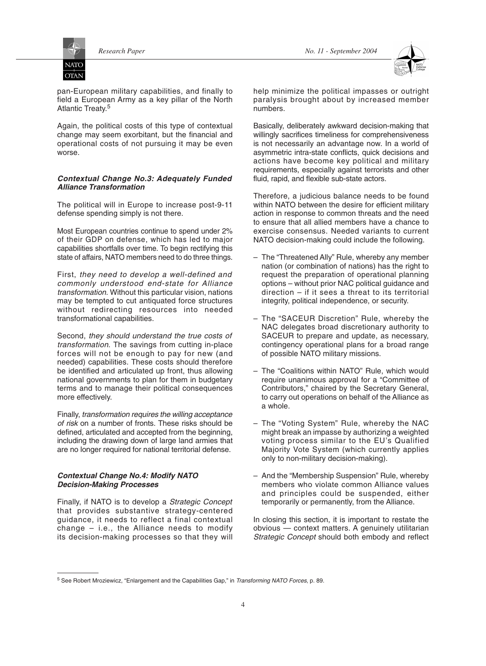**OTAN** 



pan-European military capabilities, and finally to field a European Army as a key pillar of the North Atlantic Treaty.5

Again, the political costs of this type of contextual change may seem exorbitant, but the financial and operational costs of not pursuing it may be even worse.

# *Contextual Change No.3: Adequately Funded Alliance Transformation*

The political will in Europe to increase post-9-11 defense spending simply is not there.

Most European countries continue to spend under 2% of their GDP on defense, which has led to major capabilities shortfalls over time. To begin rectifying this state of affairs, NATO members need to do three things.

First, *they need to develop a well-defined and commonly understood end-state for Alliance transformation.* Without this particular vision, nations may be tempted to cut antiquated force structures without redirecting resources into needed transformational capabilities.

Second, *they should understand the true costs of transformation*. The savings from cutting in-place forces will not be enough to pay for new (and needed) capabilities. These costs should therefore be identified and articulated up front, thus allowing national governments to plan for them in budgetary terms and to manage their political consequences more effectively.

Finally, *transformation requires the willing acceptance of risk* on a number of fronts. These risks should be defined, articulated and accepted from the beginning, including the drawing down of large land armies that are no longer required for national territorial defense.

# *Contextual Change No.4: Modify NATO Decision-Making Processes*

Finally, if NATO is to develop a *Strategic Concept* that provides substantive strategy-centered guidance, it needs to reflect a final contextual change – i.e., the Alliance needs to modify its decision-making processes so that they will help minimize the political impasses or outright paralysis brought about by increased member numbers.

Basically, deliberately awkward decision-making that willingly sacrifices timeliness for comprehensiveness is not necessarily an advantage now. In a world of asymmetric intra-state conflicts, quick decisions and actions have become key political and military requirements, especially against terrorists and other fluid, rapid, and flexible sub-state actors.

Therefore, a judicious balance needs to be found within NATO between the desire for efficient military action in response to common threats and the need to ensure that all allied members have a chance to exercise consensus. Needed variants to current NATO decision-making could include the following.

- The "Threatened Ally" Rule, whereby any member nation (or combination of nations) has the right to request the preparation of operational planning options – without prior NAC political guidance and direction – if it sees a threat to its territorial integrity, political independence, or security.
- The "SACEUR Discretion" Rule, whereby the NAC delegates broad discretionary authority to SACEUR to prepare and update, as necessary, contingency operational plans for a broad range of possible NATO military missions.
- The "Coalitions within NATO" Rule, which would require unanimous approval for a "Committee of Contributors," chaired by the Secretary General, to carry out operations on behalf of the Alliance as a whole.
- The "Voting System" Rule, whereby the NAC might break an impasse by authorizing a weighted voting process similar to the EU's Qualified Majority Vote System (which currently applies only to non-military decision-making).
- And the "Membership Suspension" Rule, whereby members who violate common Alliance values and principles could be suspended, either temporarily or permanently, from the Alliance.

In closing this section, it is important to restate the obvious — context matters. A genuinely utilitarian *Strategic Concept* should both embody and reflect

<sup>5</sup> See Robert Mroziewicz, "Enlargement and the Capabilities Gap," in *Transforming NATO Forces*, p. 89.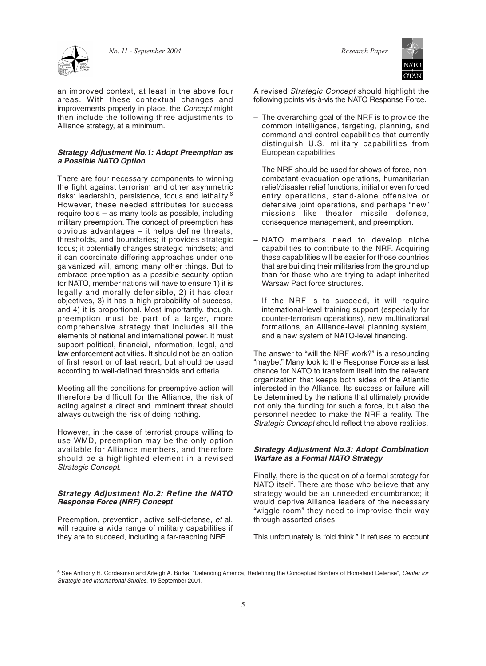

an improved context, at least in the above four areas. With these contextual changes and improvements properly in place, the *Concept* might then include the following three adjustments to Alliance strategy, at a minimum.

#### *Strategy Adjustment No.1: Adopt Preemption as a Possible NATO Option*

There are four necessary components to winning the fight against terrorism and other asymmetric risks: leadership, persistence, focus and lethality.<sup>6</sup> However, these needed attributes for success require tools – as many tools as possible, including military preemption. The concept of preemption has obvious advantages – it helps define threats, thresholds, and boundaries; it provides strategic focus; it potentially changes strategic mindsets; and it can coordinate differing approaches under one galvanized will, among many other things. But to embrace preemption as a possible security option for NATO, member nations will have to ensure 1) it is legally and morally defensible, 2) it has clear objectives, 3) it has a high probability of success, and 4) it is proportional. Most importantly, though, preemption must be part of a larger, more comprehensive strategy that includes all the elements of national and international power. It must support political, financial, information, legal, and law enforcement activities. It should not be an option of first resort or of last resort, but should be used according to well-defined thresholds and criteria.

Meeting all the conditions for preemptive action will therefore be difficult for the Alliance; the risk of acting against a direct and imminent threat should always outweigh the risk of doing nothing.

However, in the case of terrorist groups willing to use WMD, preemption may be the only option available for Alliance members, and therefore should be a highlighted element in a revised *Strategic Concept*.

# *Strategy Adjustment No.2: Refine the NATO Response Force (NRF) Concept*

Preemption, prevention, active self-defense, *et* al, will require a wide range of military capabilities if they are to succeed, including a far-reaching NRF.

A revised *Strategic Concept* should highlight the following points vis-à-vis the NATO Response Force.

- The overarching goal of the NRF is to provide the common intelligence, targeting, planning, and command and control capabilities that currently distinguish U.S. military capabilities from European capabilities.
- The NRF should be used for shows of force, noncombatant evacuation operations, humanitarian relief/disaster relief functions, initial or even forced entry operations, stand-alone offensive or defensive joint operations, and perhaps "new" missions like theater missile defense, consequence management, and preemption.
- NATO members need to develop niche capabilities to contribute to the NRF. Acquiring these capabilities will be easier for those countries that are building their militaries from the ground up than for those who are trying to adapt inherited Warsaw Pact force structures.
- If the NRF is to succeed, it will require international-level training support (especially for counter-terrorism operations), new multinational formations, an Alliance-level planning system, and a new system of NATO-level financing.

The answer to "will the NRF work?" is a resounding "maybe." Many look to the Response Force as a last chance for NATO to transform itself into the relevant organization that keeps both sides of the Atlantic interested in the Alliance. Its success or failure will be determined by the nations that ultimately provide not only the funding for such a force, but also the personnel needed to make the NRF a reality. The *Strategic Concept* should reflect the above realities.

# *Strategy Adjustment No.3: Adopt Combination Warfare as a Formal NATO Strategy*

Finally, there is the question of a formal strategy for NATO itself. There are those who believe that any strategy would be an unneeded encumbrance; it would deprive Alliance leaders of the necessary "wiggle room" they need to improvise their way through assorted crises.

This unfortunately is "old think." It refuses to account

<sup>6</sup> See Anthony H. Cordesman and Arleigh A. Burke, "Defending America, Redefining the Conceptual Borders of Homeland Defense"*, Center for Strategic and International Studies*, 19 September 2001.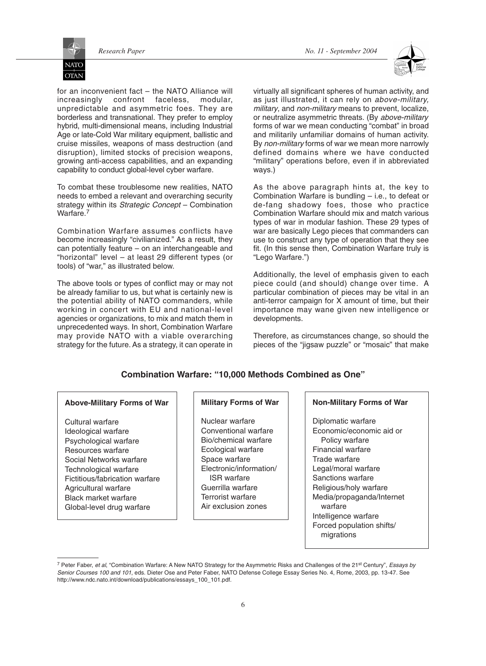**NATC OTAN** 



for an inconvenient fact – the NATO Alliance will increasingly confront faceless, modular, unpredictable and asymmetric foes. They are borderless and transnational. They prefer to employ hybrid, multi-dimensional means, including Industrial Age or late-Cold War military equipment, ballistic and cruise missiles, weapons of mass destruction (and disruption), limited stocks of precision weapons, growing anti-access capabilities, and an expanding capability to conduct global-level cyber warfare.

To combat these troublesome new realities, NATO needs to embed a relevant and overarching security strategy within its *Strategic Concept* – Combination Warfare.<sup>7</sup>

Combination Warfare assumes conflicts have become increasingly "civilianized." As a result, they can potentially feature – on an interchangeable and "horizontal" level – at least 29 different types (or tools) of "war," as illustrated below.

The above tools or types of conflict may or may not be already familiar to us, but what is certainly new is the potential ability of NATO commanders, while working in concert with EU and national-level agencies or organizations, to mix and match them in unprecedented ways. In short, Combination Warfare may provide NATO with a viable overarching strategy for the future. As a strategy, it can operate in

virtually all significant spheres of human activity, and as just illustrated, it can rely on *above-military, military*, and *non-military* means to prevent, localize, or neutralize asymmetric threats. (By *above-military* forms of war we mean conducting "combat" in broad and militarily unfamiliar domains of human activity. By *non-military* forms of war we mean more narrowly defined domains where we have conducted "military" operations before, even if in abbreviated ways.)

As the above paragraph hints at, the key to Combination Warfare is bundling – i.e., to defeat or de-fang shadowy foes, those who practice Combination Warfare should mix and match various types of war in modular fashion. These 29 types of war are basically Lego pieces that commanders can use to construct any type of operation that they see fit. (In this sense then, Combination Warfare truly is "Lego Warfare.")

Additionally, the level of emphasis given to each piece could (and should) change over time. A particular combination of pieces may be vital in an anti-terror campaign for X amount of time, but their importance may wane given new intelligence or developments.

Therefore, as circumstances change, so should the pieces of the "jigsaw puzzle" or "mosaic" that make

# **Combination Warfare: "10,000 Methods Combined as One"**

# **Above-Military Forms of War**

Cultural warfare Ideological warfare Psychological warfare Resources warfare Social Networks warfare Technological warfare Fictitious/fabrication warfare Agricultural warfare Black market warfare Global-level drug warfare

# **Military Forms of War**

Nuclear warfare Conventional warfare Bio/chemical warfare Ecological warfare Space warfare Electronic/information/ ISR warfare Guerrilla warfare Terrorist warfare Air exclusion zones

#### **Non-Military Forms of War**

Diplomatic warfare Economic/economic aid or Policy warfare Financial warfare Trade warfare Legal/moral warfare Sanctions warfare Religious/holy warfare Media/propaganda/Internet warfare Intelligence warfare Forced population shifts/ migrations

<sup>7</sup> Peter Faber, *et al*, "Combination Warfare: A New NATO Strategy for the Asymmetric Risks and Challenges of the 21st Century", *Essays by Senior Courses 100 and 101*, eds. Dieter Ose and Peter Faber, NATO Defense College Essay Series No. 4, Rome, 2003, pp. 13-47. See http://www.ndc.nato.int/download/publications/essays\_100\_101.pdf.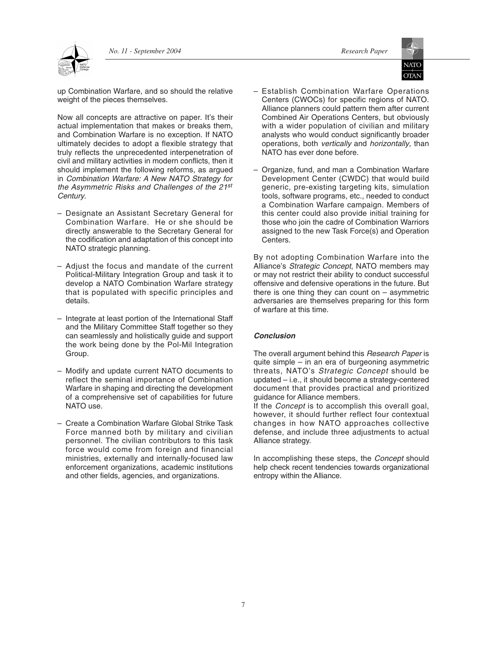**OTAN** 



up Combination Warfare, and so should the relative weight of the pieces themselves.

Now all concepts are attractive on paper. It's their actual implementation that makes or breaks them, and Combination Warfare is no exception. If NATO ultimately decides to adopt a flexible strategy that truly reflects the unprecedented interpenetration of civil and military activities in modern conflicts, then it should implement the following reforms, as argued in *Combination Warfare: A New NATO Strategy for the Asymmetric Risks and Challenges of the 21st Century*.

- Designate an Assistant Secretary General for Combination Warfare. He or she should be directly answerable to the Secretary General for the codification and adaptation of this concept into NATO strategic planning.
- Adjust the focus and mandate of the current Political-Military Integration Group and task it to develop a NATO Combination Warfare strategy that is populated with specific principles and details.
- Integrate at least portion of the International Staff and the Military Committee Staff together so they can seamlessly and holistically guide and support the work being done by the Pol-Mil Integration Group.
- Modify and update current NATO documents to reflect the seminal importance of Combination Warfare in shaping and directing the development of a comprehensive set of capabilities for future NATO use.
- Create a Combination Warfare Global Strike Task Force manned both by military and civilian personnel. The civilian contributors to this task force would come from foreign and financial ministries, externally and internally-focused law enforcement organizations, academic institutions and other fields, agencies, and organizations.
- Establish Combination Warfare Operations Centers (CWOCs) for specific regions of NATO. Alliance planners could pattern them after current Combined Air Operations Centers, but obviously with a wider population of civilian and military analysts who would conduct significantly broader operations, both *vertically* and *horizontally*, than NATO has ever done before.
- Organize, fund, and man a Combination Warfare Development Center (CWDC) that would build generic, pre-existing targeting kits, simulation tools, software programs, etc., needed to conduct a Combination Warfare campaign. Members of this center could also provide initial training for those who join the cadre of Combination Warriors assigned to the new Task Force(s) and Operation Centers.

By not adopting Combination Warfare into the Alliance's *Strategic Concept*, NATO members may or may not restrict their ability to conduct successful offensive and defensive operations in the future. But there is one thing they can count on  $-$  asymmetric adversaries are themselves preparing for this form of warfare at this time.

# *Conclusion*

The overall argument behind this *Research Paper* is quite simple – in an era of burgeoning asymmetric threats, NATO's *Strategic Concept* should be updated – i.e., it should become a strategy-centered document that provides practical and prioritized guidance for Alliance members.

If the *Concept* is to accomplish this overall goal, however, it should further reflect four contextual changes in how NATO approaches collective defense, and include three adjustments to actual Alliance strategy.

In accomplishing these steps, the *Concept* should help check recent tendencies towards organizational entropy within the Alliance.